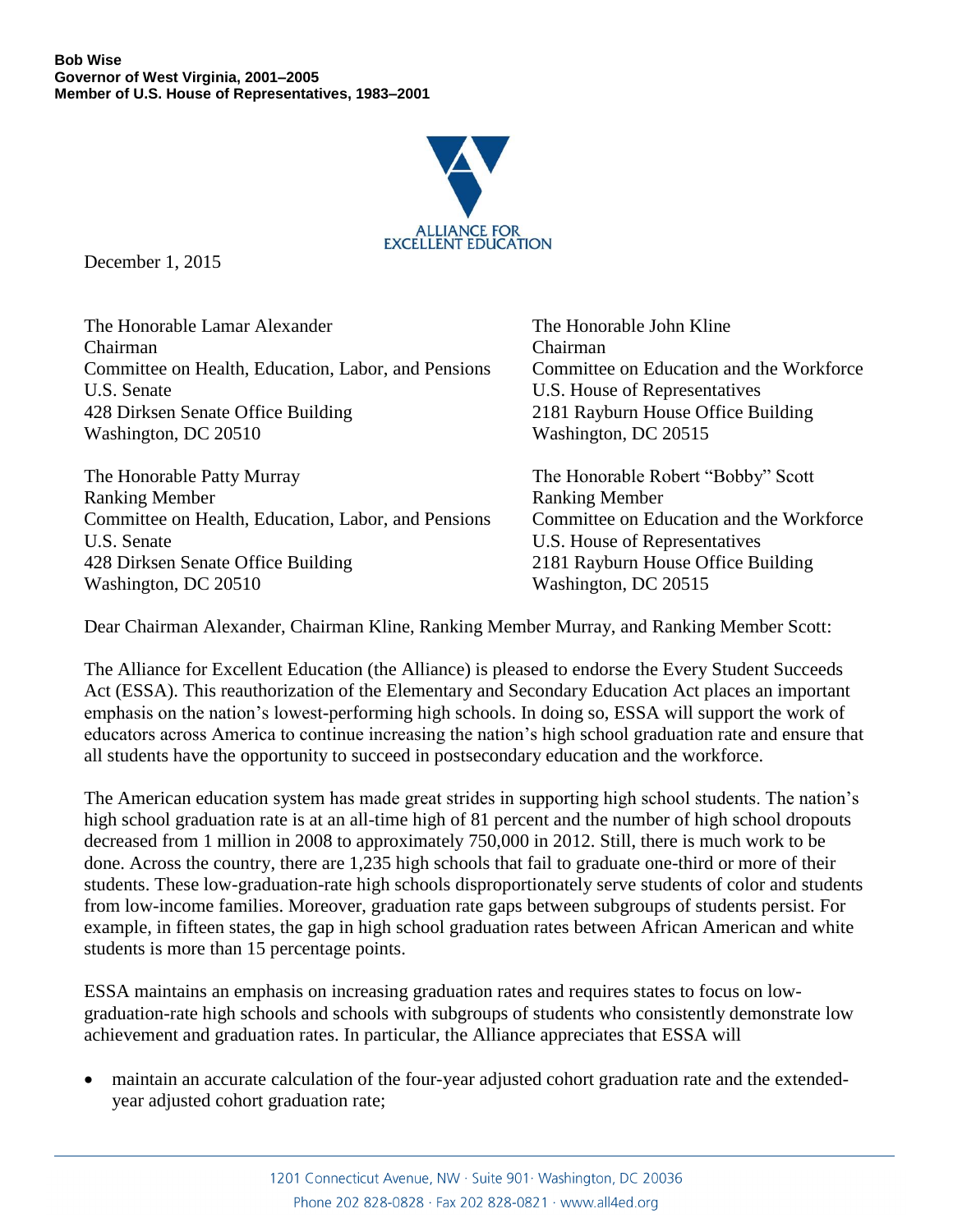

December 1, 2015

The Honorable Lamar Alexander The Honorable John Kline Chairman Chairman Committee on Health, Education, Labor, and Pensions Committee on Education and the Workforce U.S. Senate U.S. House of Representatives 428 Dirksen Senate Office Building 2181 Rayburn House Office Building Washington, DC 20510 Washington, DC 20515

The Honorable Patty Murray The Honorable Robert "Bobby" Scott Ranking Member Ranking Member Committee on Health, Education, Labor, and Pensions Committee on Education and the Workforce U.S. Senate U.S. House of Representatives 428 Dirksen Senate Office Building 2181 Rayburn House Office Building Washington, DC 20510 Washington, DC 20515

Dear Chairman Alexander, Chairman Kline, Ranking Member Murray, and Ranking Member Scott:

The Alliance for Excellent Education (the Alliance) is pleased to endorse the Every Student Succeeds Act (ESSA). This reauthorization of the Elementary and Secondary Education Act places an important emphasis on the nation's lowest-performing high schools. In doing so, ESSA will support the work of educators across America to continue increasing the nation's high school graduation rate and ensure that all students have the opportunity to succeed in postsecondary education and the workforce.

The American education system has made great strides in supporting high school students. The nation's high school graduation rate is at an all-time high of 81 percent and the number of high school dropouts decreased from 1 million in 2008 to approximately 750,000 in 2012. Still, there is much work to be done. Across the country, there are 1,235 high schools that fail to graduate one-third or more of their students. These low-graduation-rate high schools disproportionately serve students of color and students from low-income families. Moreover, graduation rate gaps between subgroups of students persist. For example, in fifteen states, the gap in high school graduation rates between African American and white students is more than 15 percentage points.

ESSA maintains an emphasis on increasing graduation rates and requires states to focus on lowgraduation-rate high schools and schools with subgroups of students who consistently demonstrate low achievement and graduation rates. In particular, the Alliance appreciates that ESSA will

 maintain an accurate calculation of the four-year adjusted cohort graduation rate and the extendedyear adjusted cohort graduation rate;